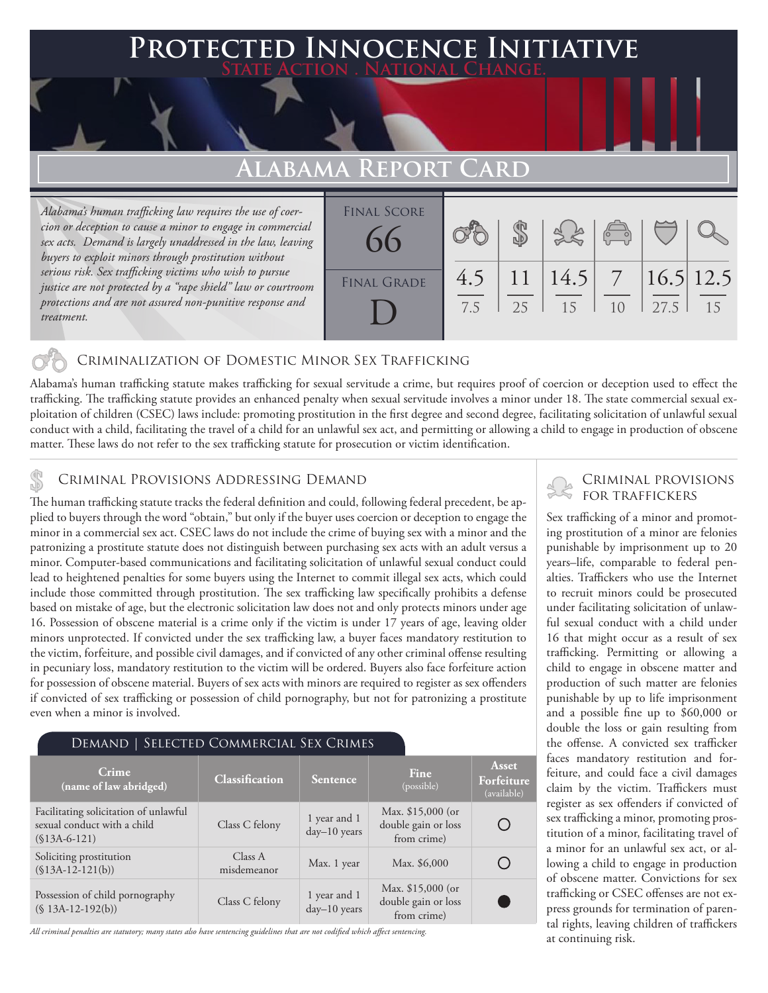## **Protected Innocence Initiative State Action . National Change.**

# **ALABAMA REPO**

*Alabama's human trafficking law requires the use of coercion or deception to cause a minor to engage in commercial sex acts. Demand is largely unaddressed in the law, leaving buyers to exploit minors through prostitution without serious risk. Sex trafficking victims who wish to pursue justice are not protected by a "rape shield" law or courtroom protections and are not assured non-punitive response and treatment.* 

| A REI ORI CARD           |            |    |                                                 |    |      |    |  |
|--------------------------|------------|----|-------------------------------------------------|----|------|----|--|
| <b>FINAL SCORE</b><br>66 |            |    | 380                                             |    |      |    |  |
| <b>FINAL GRADE</b>       | 4.5<br>7.5 | 25 | $11 \mid 14.5 \mid 7 \mid 16.5 \mid 12.5$<br>15 | 10 | 27.5 | 15 |  |

#### Criminalization of Domestic Minor Sex Trafficking

Alabama's human trafficking statute makes trafficking for sexual servitude a crime, but requires proof of coercion or deception used to effect the trafficking. The trafficking statute provides an enhanced penalty when sexual servitude involves a minor under 18. The state commercial sexual exploitation of children (CSEC) laws include: promoting prostitution in the first degree and second degree, facilitating solicitation of unlawful sexual conduct with a child, facilitating the travel of a child for an unlawful sex act, and permitting or allowing a child to engage in production of obscene matter. These laws do not refer to the sex trafficking statute for prosecution or victim identification.

CRIMINAL PROVISIONS ADDRESSING DEMAND<br>The human trafficking statute tracks the federal definition and could, following federal precedent, be ap-<br>FOR TRAFFICKERS plied to buyers through the word "obtain," but only if the buyer uses coercion or deception to engage the minor in a commercial sex act. CSEC laws do not include the crime of buying sex with a minor and the patronizing a prostitute statute does not distinguish between purchasing sex acts with an adult versus a minor. Computer-based communications and facilitating solicitation of unlawful sexual conduct could lead to heightened penalties for some buyers using the Internet to commit illegal sex acts, which could include those committed through prostitution. The sex trafficking law specifically prohibits a defense based on mistake of age, but the electronic solicitation law does not and only protects minors under age 16. Possession of obscene material is a crime only if the victim is under 17 years of age, leaving older minors unprotected. If convicted under the sex trafficking law, a buyer faces mandatory restitution to the victim, forfeiture, and possible civil damages, and if convicted of any other criminal offense resulting in pecuniary loss, mandatory restitution to the victim will be ordered. Buyers also face forfeiture action for possession of obscene material. Buyers of sex acts with minors are required to register as sex offenders if convicted of sex trafficking or possession of child pornography, but not for patronizing a prostitute even when a minor is involved.

#### Demand | Selected Commercial Sex Crimes

| Crime<br>(name of law abridged)                                                        | Classification         | Sentence                       | Fine<br>(possible)                                       | Asset<br>Forfeiture<br>(available) |
|----------------------------------------------------------------------------------------|------------------------|--------------------------------|----------------------------------------------------------|------------------------------------|
| Facilitating solicitation of unlawful<br>sexual conduct with a child<br>$(S13A-6-121)$ | Class C felony         | 1 year and 1<br>$day-10$ years | Max. \$15,000 (or<br>double gain or loss<br>from crime)  |                                    |
| Soliciting prostitution<br>$($13A-12-121(b))$                                          | Class A<br>misdemeanor | Max. 1 year                    | Max. \$6,000                                             |                                    |
| Possession of child pornography<br>$(S13A-12-192(b))$                                  | Class C felony         | 1 year and 1<br>day-10 years   | Max. $$15,000$ (or<br>double gain or loss<br>from crime) |                                    |

*All criminal penalties are statutory; many states also have sentencing guidelines that are not codified which affect sentencing.* 

# Criminal provisions

Sex trafficking of a minor and promoting prostitution of a minor are felonies punishable by imprisonment up to 20 years–life, comparable to federal penalties. Traffickers who use the Internet to recruit minors could be prosecuted under facilitating solicitation of unlawful sexual conduct with a child under 16 that might occur as a result of sex trafficking. Permitting or allowing a child to engage in obscene matter and production of such matter are felonies punishable by up to life imprisonment and a possible fine up to \$60,000 or double the loss or gain resulting from the offense. A convicted sex trafficker faces mandatory restitution and forfeiture, and could face a civil damages claim by the victim. Traffickers must register as sex offenders if convicted of sex trafficking a minor, promoting prostitution of a minor, facilitating travel of a minor for an unlawful sex act, or allowing a child to engage in production of obscene matter. Convictions for sex trafficking or CSEC offenses are not express grounds for termination of parental rights, leaving children of traffickers at continuing risk.